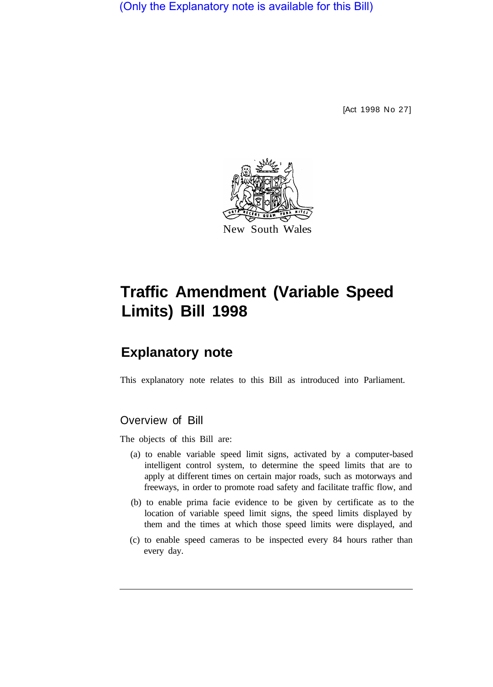(Only the Explanatory note is available for this Bill)

[Act 1998 No 27]



# **Traffic Amendment (Variable Speed Limits) Bill 1998**

## **Explanatory note**

This explanatory note relates to this Bill as introduced into Parliament.

#### Overview of Bill

The objects of this Bill are:

- (a) to enable variable speed limit signs, activated by a computer-based intelligent control system, to determine the speed limits that are to apply at different times on certain major roads, such as motorways and freeways, in order to promote road safety and facilitate traffic flow, and
- (b) to enable prima facie evidence to be given by certificate as to the location of variable speed limit signs, the speed limits displayed by them and the times at which those speed limits were displayed, and
- (c) to enable speed cameras to be inspected every 84 hours rather than every day.